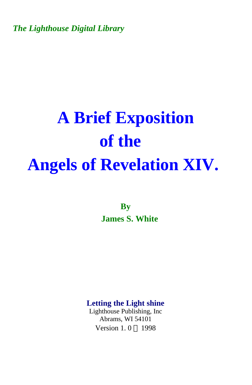*The Lighthouse Digital Library* 

## **A Brief Exposition of the Angels of Revelation XIV.**

**By James S. White** 

**Letting the Light shine** 

Lighthouse Publishing, Inc Abrams, WI 54101 Version 1.0 © 1998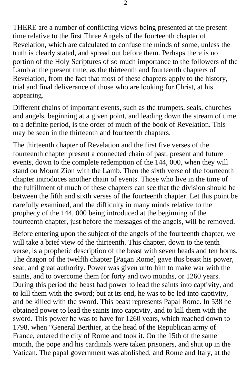THERE are a number of conflicting views being presented at the present time relative to the first Three Angels of the fourteenth chapter of Revelation, which are calculated to confuse the minds of some, unless the truth is clearly stated, and spread out before them. Perhaps there is no portion of the Holy Scriptures of so much importance to the followers of the Lamb at the present time, as the thirteenth and fourteenth chapters of Revelation, from the fact that most of these chapters apply to the history, trial and final deliverance of those who are looking for Christ, at his appearing.

Different chains of important events, such as the trumpets, seals, churches and angels, beginning at a given point, and leading down the stream of time to a definite period, is the order of much of the book of Revelation. This may be seen in the thirteenth and fourteenth chapters.

The thirteenth chapter of Revelation and the first five verses of the fourteenth chapter present a connected chain of past, present and future events, down to the complete redemption of the 144, 000, when they will stand on Mount Zion with the Lamb. Then the sixth verse of the fourteenth chapter introduces another chain of events. Those who live in the time of the fulfillment of much of these chapters can see that the division should be between the fifth and sixth verses of the fourteenth chapter. Let this point be carefully examined, and the difficulty in many minds relative to the prophecy of the 144, 000 being introduced at the beginning of the fourteenth chapter, just before the messages of the angels, will be removed.

Before entering upon the subject of the angels of the fourteenth chapter, we will take a brief view of the thirteenth. This chapter, down to the tenth verse, is a prophetic description of the beast with seven heads and ten horns. The dragon of the twelfth chapter [Pagan Rome] gave this beast his power, seat, and great authority. Power was given unto him to make war with the saints, and to overcome them for forty and two months, or 1260 years. During this period the beast had power to lead the saints into captivity, and to kill them with the sword; but at its end, he was to be led into captivity, and be killed with the sword. This beast represents Papal Rome. In 538 he obtained power to lead the saints into captivity, and to kill them with the sword. This power he was to have for 1260 years, which reached down to 1798, when "General Berthier, at the head of the Republican army of France, entered the city of Rome and took it. On the 15th of the same month, the pope and his cardinals were taken prisoners, and shut up in the Vatican. The papal government was abolished, and Rome and Italy, at the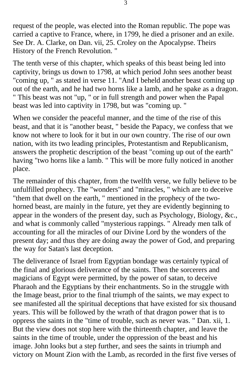request of the people, was elected into the Roman republic. The pope was carried a captive to France, where, in 1799, he died a prisoner and an exile. See Dr. A. Clarke, on Dan. vii, 25. Croley on the Apocalypse. Theirs History of the French Revolution. "

The tenth verse of this chapter, which speaks of this beast being led into captivity, brings us down to 1798, at which period John sees another beast "coming up, " as stated in verse 11. "And I beheld another beast coming up out of the earth, and he had two horns like a lamb, and he spake as a dragon. " This beast was not "up, " or in full strength and power when the Papal beast was led into captivity in 1798, but was "coming up. "

When we consider the peaceful manner, and the time of the rise of this beast, and that it is "another beast, " beside the Papacy, we confess that we know not where to look for it but in our own country. The rise of our own nation, with its two leading principles, Protestantism and Republicanism, answers the prophetic description of the beast "coming up out of the earth" having "two horns like a lamb. " This will be more fully noticed in another place.

The remainder of this chapter, from the twelfth verse, we fully believe to be unfulfilled prophecy. The "wonders" and "miracles, " which are to deceive "them that dwell on the earth, " mentioned in the prophecy of the twohorned beast, are mainly in the future, yet they are evidently beginning to appear in the wonders of the present day, such as Psychology, Biology, &c., and what is commonly called "mysterious rappings. " Already men talk of accounting for all the miracles of our Divine Lord by the wonders of the present day; and thus they are doing away the power of God, and preparing the way for Satan's last deception.

The deliverance of Israel from Egyptian bondage was certainly typical of the final and glorious deliverance of the saints. Then the sorcerers and magicians of Egypt were permitted, by the power of satan, to deceive Pharaoh and the Egyptians by their enchantments. So in the struggle with the Image beast, prior to the final triumph of the saints, we may expect to see manifested all the spiritual deceptions that have existed for six thousand years. This will be followed by the wrath of that dragon power that is to oppress the saints in the "time of trouble, such as never was. " Dan. xii, 1. But the view does not stop here with the thirteenth chapter, and leave the saints in the time of trouble, under the oppression of the beast and his image. John looks but a step further, and sees the saints in triumph and victory on Mount Zion with the Lamb, as recorded in the first five verses of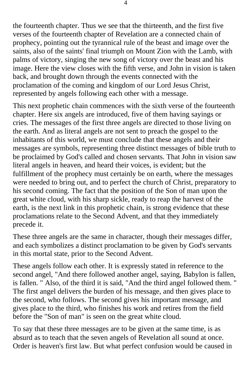the fourteenth chapter. Thus we see that the thirteenth, and the first five verses of the fourteenth chapter of Revelation are a connected chain of prophecy, pointing out the tyrannical rule of the beast and image over the saints, also of the saints' final triumph on Mount Zion with the Lamb, with palms of victory, singing the new song of victory over the beast and his image. Here the view closes with the fifth verse, and John in vision is taken back, and brought down through the events connected with the proclamation of the coming and kingdom of our Lord Jesus Christ, represented by angels following each other with a message.

This next prophetic chain commences with the sixth verse of the fourteenth chapter. Here six angels are introduced, five of them having sayings or cries. The messages of the first three angels are directed to those living on the earth. And as literal angels are not sent to preach the gospel to the inhabitants of this world, we must conclude that these angels and their messages are symbols, representing three distinct messages of bible truth to be proclaimed by God's called and chosen servants. That John in vision saw literal angels in heaven, and heard their voices, is evident; but the fulfillment of the prophecy must certainly be on earth, where the messages were needed to bring out, and to perfect the church of Christ, preparatory to his second coming. The fact that the position of the Son of man upon the great white cloud, with his sharp sickle, ready to reap the harvest of the earth, is the next link in this prophetic chain, is strong evidence that these proclamations relate to the Second Advent, and that they immediately precede it.

These three angels are the same in character, though their messages differ, and each symbolizes a distinct proclamation to be given by God's servants in this mortal state, prior to the Second Advent.

These angels follow each other. It is expressly stated in reference to the second angel, "And there followed another angel, saying, Babylon is fallen, is fallen. " Also, of the third it is said, "And the third angel followed them. " The first angel delivers the burden of his message, and then gives place to the second, who follows. The second gives his important message, and gives place to the third, who finishes his work and retires from the field before the "Son of man" is seen on the great white cloud.

To say that these three messages are to be given at the same time, is as absurd as to teach that the seven angels of Revelation all sound at once. Order is heaven's first law. But what perfect confusion would be caused in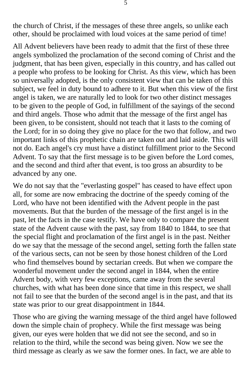the church of Christ, if the messages of these three angels, so unlike each other, should be proclaimed with loud voices at the same period of time!

All Advent believers have been ready to admit that the first of these three angels symbolized the proclamation of the second coming of Christ and the judgment, that has been given, especially in this country, and has called out a people who profess to be looking for Christ. As this view, which has been so universally adopted, is the only consistent view that can be taken of this subject, we feel in duty bound to adhere to it. But when this view of the first angel is taken, we are naturally led to look for two other distinct messages to be given to the people of God, in fulfillment of the sayings of the second and third angels. Those who admit that the message of the first angel has been given, to be consistent, should not teach that it lasts to the coming of the Lord; for in so doing they give no place for the two that follow, and two important links of this prophetic chain are taken out and laid aside. This will not do. Each angel's cry must have a distinct fulfillment prior to the Second Advent. To say that the first message is to be given before the Lord comes, and the second and third after that event, is too gross an absurdity to be advanced by any one.

We do not say that the "everlasting gospel" has ceased to have effect upon all, for some are now embracing the doctrine of the speedy coming of the Lord, who have not been identified with the Advent people in the past movements. But that the burden of the message of the first angel is in the past, let the facts in the case testify. We have only to compare the present state of the Advent cause with the past, say from 1840 to 1844, to see that the special flight and proclamation of the first angel is in the past. Neither do we say that the message of the second angel, setting forth the fallen state of the various sects, can not be seen by those honest children of the Lord who find themselves bound by sectarian creeds. But when we compare the wonderful movement under the second angel in 1844, when the entire Advent body, with very few exceptions, came away from the several churches, with what has been done since that time in this respect, we shall not fail to see that the burden of the second angel is in the past, and that its state was prior to our great disappointment in 1844.

Those who are giving the warning message of the third angel have followed down the simple chain of prophecy. While the first message was being given, our eyes were holden that we did not see the second, and so in relation to the third, while the second was being given. Now we see the third message as clearly as we saw the former ones. In fact, we are able to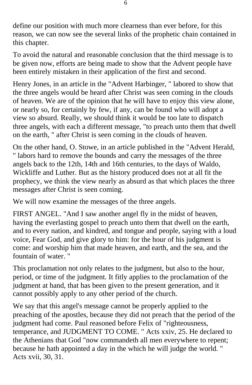define our position with much more clearness than ever before, for this reason, we can now see the several links of the prophetic chain contained in this chapter.

To avoid the natural and reasonable conclusion that the third message is to be given now, efforts are being made to show that the Advent people have been entirely mistaken in their application of the first and second.

Henry Jones, in an article in the "Advent Harbinger, " labored to show that the three angels would be heard after Christ was seen coming in the clouds of heaven. We are of the opinion that he will have to enjoy this view alone, or nearly so, for certainly by few, if any, can be found who will adopt a view so absurd. Really, we should think it would be too late to dispatch three angels, with each a different message, "to preach unto them that dwell on the earth, " after Christ is seen coming in the clouds of heaven.

On the other hand, O. Stowe, in an article published in the "Advent Herald, " labors hard to remove the bounds and carry the messages of the three angels back to the 12th, 14th and 16th centuries, to the days of Waldo, Wickliffe and Luther. But as the history produced does not at all fit the prophecy, we think the view nearly as absurd as that which places the three messages after Christ is seen coming.

We will now examine the messages of the three angels.

FIRST ANGEL. "And I saw another angel fly in the midst of heaven, having the everlasting gospel to preach unto them that dwell on the earth, and to every nation, and kindred, and tongue and people, saying with a loud voice, Fear God, and give glory to him: for the hour of his judgment is come: and worship him that made heaven, and earth, and the sea, and the fountain of water. "

This proclamation not only relates to the judgment, but also to the hour, period, or time of the judgment. It fitly applies to the proclamation of the judgment at hand, that has been given to the present generation, and it cannot possibly apply to any other period of the church.

We say that this angel's message cannot be properly applied to the preaching of the apostles, because they did not preach that the period of the judgment had come. Paul reasoned before Felix of "righteousness, temperance, and JUDGMENT TO COME. " Acts xxiv, 25. He declared to the Athenians that God "now commandeth all men everywhere to repent; because he hath appointed a day in the which he will judge the world. " Acts xvii, 30, 31.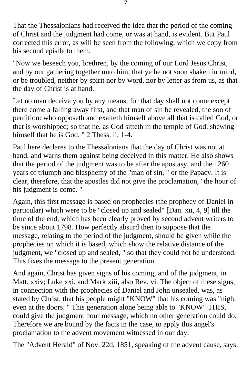That the Thessalonians had received the idea that the period of the coming of Christ and the judgment had come, or was at hand, is evident. But Paul corrected this error, as will be seen from the following, which we copy from his second epistle to them.

"Now we beseech you, brethren, by the coming of our Lord Jesus Christ, and by our gathering together unto him, that ye be not soon shaken in mind, or be troubled, neither by spirit nor by word, nor by letter as from us, as that the day of Christ is at hand.

Let no man deceive you by any means; for that day shall not come except there come a falling away first, and that man of sin be revealed, the son of perdition: who opposeth and exalteth himself above all that is called God, or that is worshipped; so that he, as God sitteth in the temple of God, shewing himself that he is God. " 2 Thess. ii, 1-4.

Paul here declares to the Thessalonians that the day of Christ was not at hand, and warns them against being deceived in this matter. He also shows that the period of the judgment was to be after the apostasy, and the 1260 years of triumph and blasphemy of the "man of sin, " or the Papacy. It is clear, therefore, that the apostles did not give the proclamation, "the hour of his judgment is come. "

Again, this first message is based on prophecies (the prophecy of Daniel in particular) which were to be "closed up and sealed" [Dan. xii, 4, 9] till the time of the end, which has been clearly proved by second advent writers to be since about 1798. How perfectly absurd then to suppose that the message, relating to the period of the judgment, should be given while the prophecies on which it is based, which show the relative distance of the judgment, we "closed up and sealed, " so that they could not be understood. This fixes the message to the present generation.

And again, Christ has given signs of his coming, and of the judgment, in Matt. xxiv; Luke xxi, and Mark xiii, also Rev. vi. The object of these signs, in connection with the prophecies of Daniel and John unsealed, was, as stated by Christ, that his people might "KNOW" that his coming was "nigh, even at the doors. " This generation alone being able to "KNOW" THIS, could give the judgment hour message, which no other generation could do. Therefore we are bound by the facts in the case, to apply this angel's proclamation to the advent movement witnessed in our day.

The "Advent Herald" of Nov. 22d, 1851, speaking of the advent cause, says: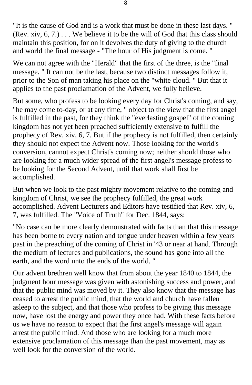"It is the cause of God and is a work that must be done in these last days. " (Rev. xiv,  $6, 7$ .)... We believe it to be the will of God that this class should maintain this position, for on it devolves the duty of giving to the church and world the final message - "The hour of His judgment is come. "

We can not agree with the "Herald" that the first of the three, is the "final message. " It can not be the last, because two distinct messages follow it, prior to the Son of man taking his place on the "white cloud. " But that it applies to the past proclamation of the Advent, we fully believe.

But some, who profess to be looking every day for Christ's coming, and say, "he may come to-day, or at any time, " object to the view that the first angel is fulfilled in the past, for they think the "everlasting gospel" of the coming kingdom has not yet been preached sufficiently extensive to fulfill the prophecy of Rev. xiv, 6, 7. But if the prophecy is not fulfilled, then certainly they should not expect the Advent now. Those looking for the world's conversion, cannot expect Christ's coming now; neither should those who are looking for a much wider spread of the first angel's message profess to be looking for the Second Advent, until that work shall first be accomplished.

But when we look to the past mighty movement relative to the coming and kingdom of Christ, we see the prophecy fulfilled, the great work accomplished. Advent Lecturers and Editors have testified that Rev. xiv, 6, 7, was fulfilled. The "Voice of Truth" for Dec. 1844, says:

"No case can be more clearly demonstrated with facts than that this message has been borne to every nation and tongue under heaven within a few years past in the preaching of the coming of Christ in '43 or near at hand. Through the medium of lectures and publications, the sound has gone into all the earth, and the word unto the ends of the world. "

Our advent brethren well know that from about the year 1840 to 1844, the judgment hour message was given with astonishing success and power, and that the public mind was moved by it. They also know that the message has ceased to arrest the public mind, that the world and church have fallen asleep to the subject, and that those who profess to be giving this message now, have lost the energy and power they once had. With these facts before us we have no reason to expect that the first angel's message will again arrest the public mind. And those who are looking for a much more extensive proclamation of this message than the past movement, may as well look for the conversion of the world.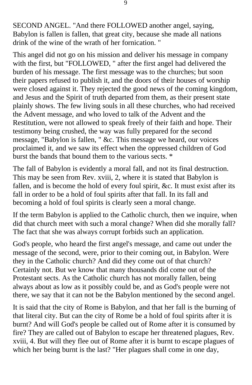SECOND ANGEL. "And there FOLLOWED another angel, saying, Babylon is fallen is fallen, that great city, because she made all nations drink of the wine of the wrath of her fornication. "

This angel did not go on his mission and deliver his message in company with the first, but "FOLLOWED, " after the first angel had delivered the burden of his message. The first message was to the churches; but soon their papers refused to publish it, and the doors of their houses of worship were closed against it. They rejected the good news of the coming kingdom, and Jesus and the Spirit of truth departed from them, as their present state plainly shows. The few living souls in all these churches, who had received the Advent message, and who loved to talk of the Advent and the Restitution, were not allowed to speak freely of their faith and hope. Their testimony being crushed, the way was fully prepared for the second message, "Babylon is fallen, " &c. This message we heard, our voices proclaimed it, and we saw its effect when the oppressed children of God burst the bands that bound them to the various sects. \*

The fall of Babylon is evidently a moral fall, and not its final destruction. This may be seen from Rev. xviii, 2, where it is stated that Babylon is fallen, and is become the hold of every foul spirit, &c. It must exist after its fall in order to be a hold of foul spirits after that fall. In its fall and becoming a hold of foul spirits is clearly seen a moral change.

If the term Babylon is applied to the Catholic church, then we inquire, when did that church meet with such a moral change? When did she morally fall? The fact that she was always corrupt forbids such an application.

God's people, who heard the first angel's message, and came out under the message of the second, were, prior to their coming out, in Babylon. Were they in the Catholic church? And did they come out of that church? Certainly not. But we know that many thousands did come out of the Protestant sects. As the Catholic church has not morally fallen, being always about as low as it possibly could be, and as God's people were not there, we say that it can not be the Babylon mentioned by the second angel.

It is said that the city of Rome is Babylon, and that her fall is the burning of that literal city. But can the city of Rome be a hold of foul spirits after it is burnt? And will God's people be called out of Rome after it is consumed by fire? They are called out of Babylon to escape her threatened plagues, Rev. xviii, 4. But will they flee out of Rome after it is burnt to escape plagues of which her being burnt is the last? "Her plagues shall come in one day,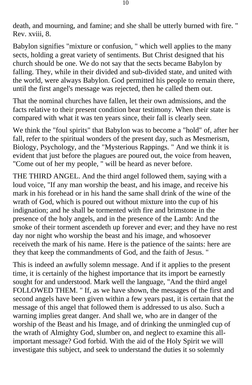death, and mourning, and famine; and she shall be utterly burned with fire. " Rev. xviii, 8.

Babylon signifies "mixture or confusion, " which well applies to the many sects, holding a great variety of sentiments. But Christ designed that his church should be one. We do not say that the sects became Babylon by falling. They, while in their divided and sub-divided state, and united with the world, were always Babylon. God permitted his people to remain there, until the first angel's message was rejected, then he called them out.

That the nominal churches have fallen, let their own admissions, and the facts relative to their present condition bear testimony. When their state is compared with what it was ten years since, their fall is clearly seen.

We think the "foul spirits" that Babylon was to become a "hold" of, after her fall, refer to the spiritual wonders of the present day, such as Mesmerism, Biology, Psychology, and the "Mysterious Rappings. " And we think it is evident that just before the plagues are poured out, the voice from heaven, "Come out of her my people, " will be heard as never before.

THE THIRD ANGEL. And the third angel followed them, saying with a loud voice, "If any man worship the beast, and his image, and receive his mark in his forehead or in his hand the same shall drink of the wine of the wrath of God, which is poured out without mixture into the cup of his indignation; and he shall be tormented with fire and brimstone in the presence of the holy angels, and in the presence of the Lamb: And the smoke of their torment ascendeth up forever and ever; and they have no rest day nor night who worship the beast and his image, and whosoever receiveth the mark of his name. Here is the patience of the saints: here are they that keep the commandments of God, and the faith of Jesus. "

This is indeed an awfully solemn message. And if it applies to the present time, it is certainly of the highest importance that its import be earnestly sought for and understood. Mark well the language, "And the third angel FOLLOWED THEM. " If, as we have shown, the messages of the first and second angels have been given within a few years past, it is certain that the message of this angel that followed them is addressed to us also. Such a warning implies great danger. And shall we, who are in danger of the worship of the Beast and his Image, and of drinking the unmingled cup of the wrath of Almighty God, slumber on, and neglect to examine this allimportant message? God forbid. With the aid of the Holy Spirit we will investigate this subject, and seek to understand the duties it so solemnly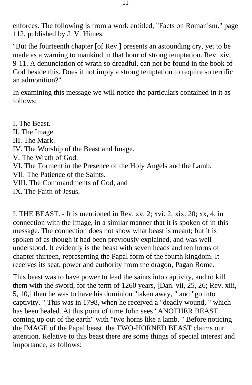enforces. The following is from a work entitled, "Facts on Romanism." page 112, published by J. V. Himes.

"But the fourteenth chapter [of Rev.] presents an astounding cry, yet to be made as a warning to mankind in that hour of strong temptation. Rev. xiv, 9-11. A denunciation of wrath so dreadful, can not be found in the book of God beside this. Does it not imply a strong temptation to require so terrific an admonition?"

In examining this message we will notice the particulars contained in it as follows:

I. The Beast. II. The Image. III. The Mark. IV. The Worship of the Beast and Image. V. The Wrath of God. VI. The Torment in the Presence of the Holy Angels and the Lamb. VII. The Patience of the Saints. VIII. The Commandments of God, and IX. The Faith of Jesus.

I. THE BEAST. - It is mentioned in Rev. xv. 2; xvi. 2; xix. 20; xx, 4, in connection with the Image, in a similar manner that it is spoken of in this message. The connection does not show what beast is meant; but it is spoken of as though it had been previously explained, and was well understood. It evidently is the beast with seven heads and ten horns of chapter thirteen, representing the Papal form of the fourth kingdom. It receives its seat, power and authority from the dragon, Pagan Rome.

This beast was to have power to lead the saints into captivity, and to kill them with the sword, for the term of 1260 years, [Dan. vii, 25, 26; Rev. xiii, 5, 10,] then he was to have his dominion "taken away, " and "go into captivity. " This was in 1798, when he received a "deadly wound, " which has been healed. At this point of time John sees "ANOTHER BEAST coming up out of the earth" with "two horns like a lamb. " Before noticing the IMAGE of the Papal beast, the TWO-HORNED BEAST claims our attention. Relative to this beast there are some things of special interest and importance, as follows: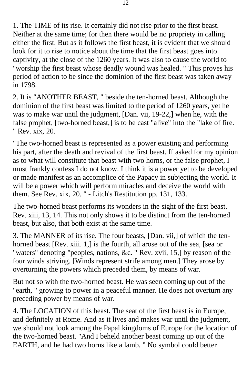1. The TIME of its rise. It certainly did not rise prior to the first beast. Neither at the same time; for then there would be no propriety in calling either the first. But as it follows the first beast, it is evident that we should look for it to rise to notice about the time that the first beast goes into captivity, at the close of the 1260 years. It was also to cause the world to "worship the first beast whose deadly wound was healed. " This proves his period of action to be since the dominion of the first beast was taken away in 1798.

2. It is "ANOTHER BEAST, " beside the ten-horned beast. Although the dominion of the first beast was limited to the period of 1260 years, yet he was to make war until the judgment, [Dan. vii, 19-22,] when he, with the false prophet, [two-horned beast,] is to be cast "alive" into the "lake of fire. " Rev. xix, 20.

"The two-horned beast is represented as a power existing and performing his part, after the death and revival of the first beast. If asked for my opinion as to what will constitute that beast with two horns, or the false prophet, I must frankly confess I do not know. I think it is a power yet to be developed or made manifest as an accomplice of the Papacy in subjecting the world. It will be a power which will perform miracles and deceive the world with them. See Rev. xix, 20. " - Litch's Restitution pp. 131, 133.

The two-horned beast performs its wonders in the sight of the first beast. Rev. xiii, 13, 14. This not only shows it to be distinct from the ten-horned beast, but also, that both exist at the same time.

3. The MANNER of its rise. The four beasts, [Dan. vii,] of which the tenhorned beast [Rev. xiii. 1,] is the fourth, all arose out of the sea, [sea or "waters" denoting "peoples, nations, &c. " Rev. xvii, 15,] by reason of the four winds striving. [Winds represent strife among men.] They arose by overturning the powers which preceded them, by means of war.

But not so with the two-horned beast. He was seen coming up out of the "earth, " growing to power in a peaceful manner. He does not overturn any preceding power by means of war.

4. The LOCATION of this beast. The seat of the first beast is in Europe, and definitely at Rome. And as it lives and makes war until the judgment, we should not look among the Papal kingdoms of Europe for the location of the two-horned beast. "And I beheld another beast coming up out of the EARTH, and he had two horns like a lamb. " No symbol could better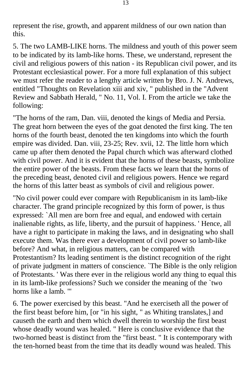represent the rise, growth, and apparent mildness of our own nation than this.

5. The two LAMB-LIKE horns. The mildness and youth of this power seem to be indicated by its lamb-like horns. These, we understand, represent the civil and religious powers of this nation - its Republican civil power, and its Protestant ecclesiastical power. For a more full explanation of this subject we must refer the reader to a lengthy article written by Bro. J. N. Andrews, entitled "Thoughts on Revelation xiii and xiv, " published in the "Advent Review and Sabbath Herald, " No. 11, Vol. I. From the article we take the following:

"The horns of the ram, Dan. viii, denoted the kings of Media and Persia. The great horn between the eyes of the goat denoted the first king. The ten horns of the fourth beast, denoted the ten kingdoms into which the fourth empire was divided. Dan. viii, 23-25; Rev. xvii, 12. The little horn which came up after them denoted the Papal church which was afterward clothed with civil power. And it is evident that the horns of these beasts, symbolize the entire power of the beasts. From these facts we learn that the horns of the preceding beast, denoted civil and religious powers. Hence we regard the horns of this latter beast as symbols of civil and religious power.

"No civil power could ever compare with Republicanism in its lamb-like character. The grand principle recognized by this form of power, is thus expressed: `All men are born free and equal, and endowed with certain inalienable rights, as life, liberty, and the pursuit of happiness. ' Hence, all have a right to participate in making the laws, and in designating who shall execute them. Was there ever a development of civil power so lamb-like before? And what, in religious matters, can be compared with Protestantism? Its leading sentiment is the distinct recognition of the right of private judgment in matters of conscience. `The Bible is the only religion of Protestants. ' Was there ever in the religious world any thing to equal this in its lamb-like professions? Such we consider the meaning of the `two horns like a lamb. '"

6. The power exercised by this beast. "And he exerciseth all the power of the first beast before him, [or "in his sight, " as Whiting translates,] and causeth the earth and them which dwell therein to worship the first beast whose deadly wound was healed. " Here is conclusive evidence that the two-horned beast is distinct from the "first beast. " It is contemporary with the ten-horned beast from the time that its deadly wound was healed. This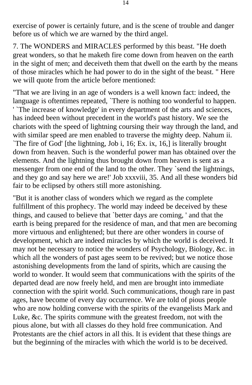exercise of power is certainly future, and is the scene of trouble and danger before us of which we are warned by the third angel.

7. The WONDERS and MIRACLES performed by this beast. "He doeth great wonders, so that he maketh fire come down from heaven on the earth in the sight of men; and deceiveth them that dwell on the earth by the means of those miracles which he had power to do in the sight of the beast. " Here we will quote from the article before mentioned:

"That we are living in an age of wonders is a well known fact: indeed, the language is oftentimes repeated, `There is nothing too wonderful to happen. ' `The increase of knowledge' in every department of the arts and sciences, has indeed been without precedent in the world's past history. We see the chariots with the speed of lightning coursing their way through the land, and with similar speed are men enabled to traverse the mighty deep. Nahum ii. `The fire of God' [the lightning, Job i, 16; Ex. ix, 16,] is literally brought down from heaven. Such is the wonderful power man has obtained over the elements. And the lightning thus brought down from heaven is sent as a messenger from one end of the land to the other. They `send the lightnings, and they go and say here we are!' Job xxxviii, 35. And all these wonders bid fair to be eclipsed by others still more astonishing.

"But it is another class of wonders which we regard as the complete fulfillment of this prophecy. The world may indeed be deceived by these things, and caused to believe that `better days are coming, ' and that the earth is being prepared for the residence of man, and that men are becoming more virtuous and enlightened; but there are other wonders in course of development, which are indeed miracles by which the world is deceived. It may not be necessary to notice the wonders of Psychology, Biology, &c. in which all the wonders of past ages seem to be revived; but we notice those astonishing developments from the land of spirits, which are causing the world to wonder. It would seem that communications with the spirits of the departed dead are now freely held, and men are brought into immediate connection with the spirit world. Such communications, though rare in past ages, have become of every day occurrence. We are told of pious people who are now holding converse with the spirits of the evangelists Mark and Luke, &c. The spirits commune with the greatest freedom, not with the pious alone, but with all classes do they hold free communication. And Protestants are the chief actors in all this. It is evident that these things are but the beginning of the miracles with which the world is to be deceived.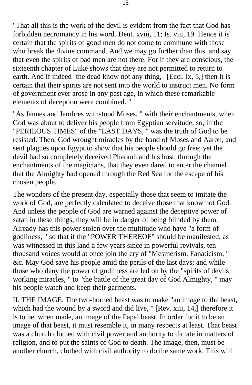"That all this is the work of the devil is evident from the fact that God has forbidden necromancy in his word. Deut. xviii, 11; Is. viii, 19. Hence it is certain that the spirits of good men do not come to commune with those who break the divine command. And we may go further than this, and say that even the spirits of bad men are not there. For if they are conscious, the sixteenth chapter of Luke shows that they are not permitted to return to earth. And if indeed `the dead know not any thing, ' [Eccl. ix, 5,] then it is certain that their spirits are not sent into the world to instruct men. No form of government ever arose in any past age, in which these remarkable elements of deception were combined. "

"As Jannes and Jambres withstood Moses, " with their enchantments, when God was about to deliver his people from Egyptian servitude, so, in the "PERILOUS TIMES" of the "LAST DAYS, " was the truth of God to be resisted. Then, God wrought miracles by the hand of Moses and Aaron, and sent plagues upon Egypt to show that his people should go free; yet the devil had so completely deceived Pharaoh and his host, through the enchantments of the magicians, that they even dared to enter the channel that the Almighty had opened through the Red Sea for the escape of his chosen people.

The wonders of the present day, especially those that seem to imitate the work of God, are perfectly calculated to deceive those that know not God. And unless the people of God are warned against the deceptive power of satan in these things, they will be in danger of being blinded by them. Already has this power stolen over the multitude who have "a form of godliness, " so that if the "POWER THEREOF" should be manifested, as was witnessed in this land a few years since in powerful revivals, ten thousand voices would at once join the cry of "Mesmerism, Fanaticism, " &c. May God save his people amid the perils of the last days; and while those who deny the power of godliness are led on by the "spirits of devils working miracles, " to "the battle of the great day of God Almighty, " may his people watch and keep their garments.

II. THE IMAGE. The two-horned beast was to make "an image to the beast, which had the wound by a sword and did live, " [Rev. xiii, 14,] therefore it is to be, when made, an image of the Papal beast. In order for it to be an image of that beast, it must resemble it, in many respects at least. That beast was a church clothed with civil power and authority to dictate in matters of religion, and to put the saints of God to death. The image, then, must be another church, clothed with civil authority to do the same work. This will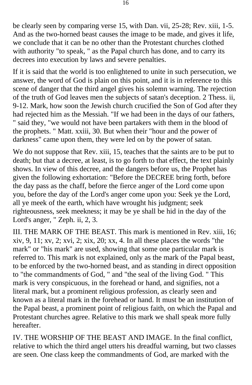be clearly seen by comparing verse 15, with Dan. vii, 25-28; Rev. xiii, 1-5. And as the two-horned beast causes the image to be made, and gives it life, we conclude that it can be no other than the Protestant churches clothed with authority "to speak, " as the Papal church has done, and to carry its decrees into execution by laws and severe penalties.

If it is said that the world is too enlightened to unite in such persecution, we answer, the word of God is plain on this point, and it is in reference to this scene of danger that the third angel gives his solemn warning. The rejection of the truth of God leaves men the subjects of satan's deception. 2 Thess. ii, 9-12. Mark, how soon the Jewish church crucified the Son of God after they had rejected him as the Messiah. "If we had been in the days of our fathers, " said they, "we would not have been partakers with them in the blood of the prophets. " Matt. xxiii, 30. But when their "hour and the power of darkness" came upon them, they were led on by the power of satan.

We do not suppose that Rev. xiii, 15, teaches that the saints are to be put to death; but that a decree, at least, is to go forth to that effect, the text plainly shows. In view of this decree, and the dangers before us, the Prophet has given the following exhortation: "Before the DECREE bring forth, before the day pass as the chaff, before the fierce anger of the Lord come upon you, before the day of the Lord's anger come upon you: Seek ye the Lord, all ye meek of the earth, which have wrought his judgment; seek righteousness, seek meekness; it may be ye shall be hid in the day of the Lord's anger, " Zeph. ii, 2, 3.

III. THE MARK OF THE BEAST. This mark is mentioned in Rev. xiii, 16; xiv, 9, 11; xv, 2; xvi, 2; xix, 20; xx, 4. In all these places the words "the mark" or "his mark" are used, showing that some one particular mark is referred to. This mark is not explained, only as the mark of the Papal beast, to be enforced by the two-horned beast, and as standing in direct opposition to "the commandments of God, " and "the seal of the living God. " This mark is very conspicuous, in the forehead or hand, and signifies, not a literal mark, but a prominent religious profession, as clearly seen and known as a literal mark in the forehead or hand. It must be an institution of the Papal beast, a prominent point of religious faith, on which the Papal and Protestant churches agree. Relative to this mark we shall speak more fully hereafter.

IV. THE WORSHIP OF THE BEAST AND IMAGE. In the final conflict, relative to which the third angel utters his dreadful warning, but two classes are seen. One class keep the commandments of God, are marked with the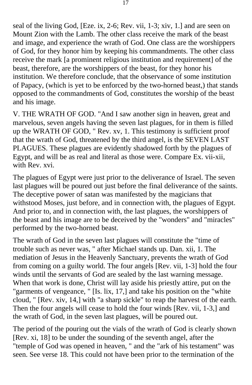seal of the living God, [Eze. ix, 2-6; Rev. vii, 1-3; xiv, 1.] and are seen on Mount Zion with the Lamb. The other class receive the mark of the beast and image, and experience the wrath of God. One class are the worshippers of God, for they honor him by keeping his commandments. The other class receive the mark [a prominent religious institution and requirement] of the beast, therefore, are the worshippers of the beast, for they honor his institution. We therefore conclude, that the observance of some institution of Papacy, (which is yet to be enforced by the two-horned beast,) that stands opposed to the commandments of God, constitutes the worship of the beast and his image.

V. THE WRATH OF GOD. "And I saw another sign in heaven, great and marvelous, seven angels having the seven last plagues, for in them is filled up the WRATH OF GOD, " Rev. xv, 1. This testimony is sufficient proof that the wrath of God, threatened by the third angel, is the SEVEN LAST PLAGUES. These plagues are evidently shadowed forth by the plagues of Egypt, and will be as real and literal as those were. Compare Ex. vii-xii, with Rev. xvi.

The plagues of Egypt were just prior to the deliverance of Israel. The seven last plagues will be poured out just before the final deliverance of the saints. The deceptive power of satan was manifested by the magicians that withstood Moses, just before, and in connection with, the plagues of Egypt. And prior to, and in connection with, the last plagues, the worshippers of the beast and his image are to be deceived by the "wonders" and "miracles" performed by the two-horned beast.

The wrath of God in the seven last plagues will constitute the "time of trouble such as never was, " after Michael stands up. Dan. xii, 1. The mediation of Jesus in the Heavenly Sanctuary, prevents the wrath of God from coming on a guilty world. The four angels [Rev. vii, 1-3] hold the four winds until the servants of God are sealed by the last warning message. When that work is done, Christ will lay aside his priestly attire, put on the "garments of vengeance, " [Is. lix, 17,] and take his position on the "white cloud, " [Rev. xiv, 14,] with "a sharp sickle" to reap the harvest of the earth. Then the four angels will cease to hold the four winds [Rev. vii, 1-3,] and the wrath of God, in the seven last plagues, will be poured out.

The period of the pouring out the vials of the wrath of God is clearly shown [Rev. xi, 18] to be under the sounding of the seventh angel, after the "temple of God was opened in heaven, " and the "ark of his testament" was seen. See verse 18. This could not have been prior to the termination of the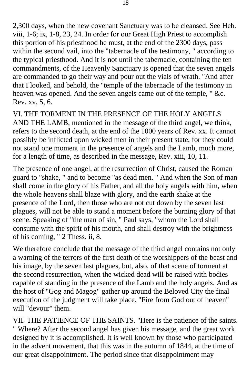2,300 days, when the new covenant Sanctuary was to be cleansed. See Heb. viii, 1-6; ix, 1-8, 23, 24. In order for our Great High Priest to accomplish this portion of his priesthood he must, at the end of the 2300 days, pass within the second vail, into the "tabernacle of the testimony, " according to the typical priesthood. And it is not until the tabernacle, containing the ten commandments, of the Heavenly Sanctuary is opened that the seven angels are commanded to go their way and pour out the vials of wrath. "And after that I looked, and behold, the "temple of the tabernacle of the testimony in heaven was opened. And the seven angels came out of the temple, " &c. Rev. xv, 5, 6.

VI. THE TORMENT IN THE PRESENCE OF THE HOLY ANGELS AND THE LAMB, mentioned in the message of the third angel, we think, refers to the second death, at the end of the 1000 years of Rev. xx. It cannot possibly be inflicted upon wicked men in their present state, for they could not stand one moment in the presence of angels and the Lamb, much more, for a length of time, as described in the message, Rev. xiii, 10, 11.

The presence of one angel, at the resurrection of Christ, caused the Roman guard to "shake, " and to become "as dead men. " And when the Son of man shall come in the glory of his Father, and all the holy angels with him, when the whole heavens shall blaze with glory, and the earth shake at the presence of the Lord, then those who are not cut down by the seven last plagues, will not be able to stand a moment before the burning glory of that scene. Speaking of "the man of sin, " Paul says, "whom the Lord shall consume with the spirit of his mouth, and shall destroy with the brightness of his coming, " 2 Thess. ii, 8.

We therefore conclude that the message of the third angel contains not only a warning of the terrors of the first death of the worshippers of the beast and his image, by the seven last plagues, but, also, of that scene of torment at the second resurrection, when the wicked dead will be raised with bodies capable of standing in the presence of the Lamb and the holy angels. And as the host of "Gog and Magog" gather up around the Beloved City the final execution of the judgment will take place. "Fire from God out of heaven" will "devour" them.

VII. THE PATIENCE OF THE SAINTS. "Here is the patience of the saints. " Where? After the second angel has given his message, and the great work designed by it is accomplished. It is well known by those who participated in the advent movement, that this was in the autumn of 1844, at the time of our great disappointment. The period since that disappointment may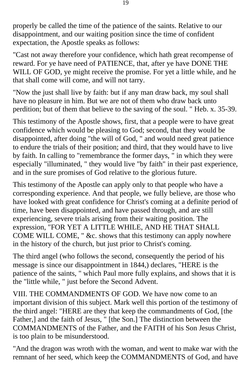properly be called the time of the patience of the saints. Relative to our disappointment, and our waiting position since the time of confident expectation, the Apostle speaks as follows:

"Cast not away therefore your confidence, which hath great recompense of reward. For ye have need of PATIENCE, that, after ye have DONE THE WILL OF GOD, ye might receive the promise. For yet a little while, and he that shall come will come, and will not tarry.

"Now the just shall live by faith: but if any man draw back, my soul shall have no pleasure in him. But we are not of them who draw back unto perdition; but of them that believe to the saving of the soul. " Heb. x. 35-39.

This testimony of the Apostle shows, first, that a people were to have great confidence which would be pleasing to God; second, that they would be disappointed, after doing "the will of God, " and would need great patience to endure the trials of their position; and third, that they would have to live by faith. In calling to "remembrance the former days, " in which they were especially "illuminated, " they would live "by faith" in their past experience, and in the sure promises of God relative to the glorious future.

This testimony of the Apostle can apply only to that people who have a corresponding experience. And that people, we fully believe, are those who have looked with great confidence for Christ's coming at a definite period of time, have been disappointed, and have passed through, and are still experiencing, severe trials arising from their waiting position. The expression, "FOR YET A LITTLE WHILE, AND HE THAT SHALL COME WILL COME, " &c. shows that this testimony can apply nowhere in the history of the church, but just prior to Christ's coming.

The third angel (who follows the second, consequently the period of his message is since our disappointment in 1844,) declares, "HERE is the patience of the saints, " which Paul more fully explains, and shows that it is the "little while, " just before the Second Advent.

VIII. THE COMMANDMENTS OF GOD. We have now come to an important division of this subject. Mark well this portion of the testimony of the third angel: "HERE are they that keep the commandments of God, [the Father,] and the faith of Jesus, " [the Son.] The distinction between the COMMANDMENTS of the Father, and the FAITH of his Son Jesus Christ, is too plain to be misunderstood.

"And the dragon was wroth with the woman, and went to make war with the remnant of her seed, which keep the COMMANDMENTS of God, and have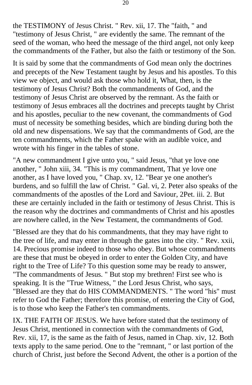the TESTIMONY of Jesus Christ. " Rev. xii, 17. The "faith, " and "testimony of Jesus Christ, " are evidently the same. The remnant of the seed of the woman, who heed the message of the third angel, not only keep the commandments of the Father, but also the faith or testimony of the Son.

It is said by some that the commandments of God mean only the doctrines and precepts of the New Testament taught by Jesus and his apostles. To this view we object, and would ask those who hold it, What, then, is the testimony of Jesus Christ? Both the commandments of God, and the testimony of Jesus Christ are observed by the remnant. As the faith or testimony of Jesus embraces all the doctrines and precepts taught by Christ and his apostles, peculiar to the new covenant, the commandments of God must of necessity be something besides, which are binding during both the old and new dispensations. We say that the commandments of God, are the ten commandments, which the Father spake with an audible voice, and wrote with his finger in the tables of stone.

"A new commandment I give unto you, " said Jesus, "that ye love one another, " John xiii, 34. "This is my commandment, That ye love one another, as I have loved you, " Chap. xv, 12. "Bear ye one another's burdens, and so fulfill the law of Christ. " Gal. vi, 2. Peter also speaks of the commandments of the apostles of the Lord and Saviour, 2Pet. iii. 2. But these are certainly included in the faith or testimony of Jesus Christ. This is the reason why the doctrines and commandments of Christ and his apostles are nowhere called, in the New Testament, the commandments of God.

"Blessed are they that do his commandments, that they may have right to the tree of life, and may enter in through the gates into the city. " Rev. xxii, 14. Precious promise indeed to those who obey. But whose commandments are these that must be obeyed in order to enter the Golden City, and have right to the Tree of Life? To this question some may be ready to answer, "The commandments of Jesus. " But stop my brethren! First see who is speaking. It is the "True Witness, " the Lord Jesus Christ, who says, "Blessed are they that do HIS COMMANDMENTS. " The word "his" must refer to God the Father; therefore this promise, of entering the City of God, is to those who keep the Father's ten commandments.

IX. THE FAITH OF JESUS. We have before stated that the testimony of Jesus Christ, mentioned in connection with the commandments of God, Rev. xii, 17, is the same as the faith of Jesus, named in Chap. xiv, 12. Both texts apply to the same period. One to the "remnant, " or last portion of the church of Christ, just before the Second Advent, the other is a portion of the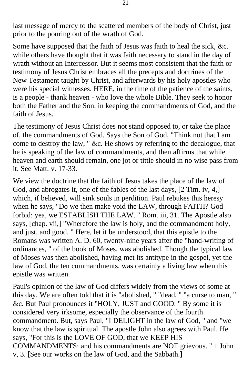last message of mercy to the scattered members of the body of Christ, just prior to the pouring out of the wrath of God.

Some have supposed that the faith of Jesus was faith to heal the sick, &c. while others have thought that it was faith necessary to stand in the day of wrath without an Intercessor. But it seems most consistent that the faith or testimony of Jesus Christ embraces all the precepts and doctrines of the New Testament taught by Christ, and afterwards by his holy apostles who were his special witnesses. HERE, in the time of the patience of the saints, is a people - thank heaven - who love the whole Bible. They seek to honor both the Father and the Son, in keeping the commandments of God, and the faith of Jesus.

The testimony of Jesus Christ does not stand opposed to, or take the place of, the commandments of God. Says the Son of God, "Think not that I am come to destroy the law, " &c. He shows by referring to the decalogue, that he is speaking of the law of commandments, and then affirms that while heaven and earth should remain, one jot or tittle should in no wise pass from it. See Matt. v. 17-33.

We view the doctrine that the faith of Jesus takes the place of the law of God, and abrogates it, one of the fables of the last days, [2 Tim. iv, 4,] which, if believed, will sink souls in perdition. Paul rebukes this heresy when he says, "Do we then make void the LAW, through FAITH? God forbid: yea, we ESTABLISH THE LAW. " Rom. iii, 31. The Apostle also says, [chap. vii,] "Wherefore the law is holy, and the commandment holy, and just, and good. " Here, let it be understood, that this epistle to the Romans was written A. D. 60, twenty-nine years after the "hand-writing of ordinances, " of the book of Moses, was abolished. Though the typical law of Moses was then abolished, having met its antitype in the gospel, yet the law of God, the ten commandments, was certainly a living law when this epistle was written.

Paul's opinion of the law of God differs widely from the views of some at this day. We are often told that it is "abolished, " "dead, " "a curse to man, " &c. But Paul pronounces it "HOLY, JUST and GOOD. " By some it is considered very irksome, especially the observance of the fourth commandment. But, says Paul, "I DELIGHT in the law of God, " and "we know that the law is spiritual. The apostle John also agrees with Paul. He says, "For this is the LOVE OF GOD, that we KEEP HIS COMMANDMENTS: and his commandments are NOT grievous. " 1 John v, 3. [See our works on the law of God, and the Sabbath.]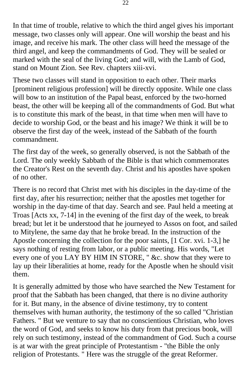In that time of trouble, relative to which the third angel gives his important message, two classes only will appear. One will worship the beast and his image, and receive his mark. The other class will heed the message of the third angel, and keep the commandments of God. They will be sealed or marked with the seal of the living God; and will, with the Lamb of God, stand on Mount Zion. See Rev. chapters xiii-xvi.

These two classes will stand in opposition to each other. Their marks [prominent religious profession] will be directly opposite. While one class will bow to an institution of the Papal beast, enforced by the two-horned beast, the other will be keeping all of the commandments of God. But what is to constitute this mark of the beast, in that time when men will have to decide to worship God, or the beast and his image? We think it will be to observe the first day of the week, instead of the Sabbath of the fourth commandment.

The first day of the week, so generally observed, is not the Sabbath of the Lord. The only weekly Sabbath of the Bible is that which commemorates the Creator's Rest on the seventh day. Christ and his apostles have spoken of no other.

There is no record that Christ met with his disciples in the day-time of the first day, after his resurrection; neither that the apostles met together for worship in the day-time of that day. Search and see. Paul held a meeting at Troas [Acts xx, 7-14] in the evening of the first day of the week, to break bread; but let it be understood that he journeyed to Assos on foot, and sailed to Mitylene, the same day that he broke bread. In the instruction of the Apostle concerning the collection for the poor saints, [1 Cor. xvi. 1-3,] he says nothing of resting from labor, or a public meeting. His words, "Let every one of you LAY BY HIM IN STORE, " &c. show that they were to lay up their liberalities at home, ready for the Apostle when he should visit them.

It is generally admitted by those who have searched the New Testament for proof that the Sabbath has been changed, that there is no divine authority for it. But many, in the absence of divine testimony, try to content themselves with human authority, the testimony of the so called "Christian Fathers. " But we venture to say that no conscientious Christian, who loves the word of God, and seeks to know his duty from that precious book, will rely on such testimony, instead of the commandment of God. Such a course is at war with the great principle of Protestantism - "the Bible the only religion of Protestants. " Here was the struggle of the great Reformer.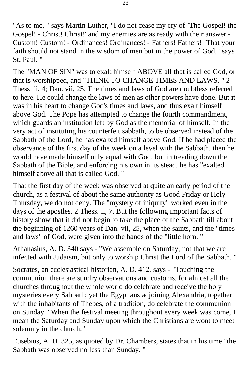"As to me, " says Martin Luther, "I do not cease my cry of `The Gospel! the Gospel! - Christ! Christ!' and my enemies are as ready with their answer - Custom! Custom! - Ordinances! Ordinances! - Fathers! Fathers! `That your faith should not stand in the wisdom of men but in the power of God, ' says St. Paul. "

The "MAN OF SIN" was to exalt himself ABOVE all that is called God, or that is worshipped, and "THINK TO CHANGE TIMES AND LAWS. " 2 Thess. ii, 4; Dan. vii, 25. The times and laws of God are doubtless referred to here. He could change the laws of men as other powers have done. But it was in his heart to change God's times and laws, and thus exalt himself above God. The Pope has attempted to change the fourth commandment, which guards an institution left by God as the memorial of himself. In the very act of instituting his counterfeit sabbath, to be observed instead of the Sabbath of the Lord, he has exalted himself above God. If he had placed the observance of the first day of the week on a level with the Sabbath, then he would have made himself only equal with God; but in treading down the Sabbath of the Bible, and enforcing his own in its stead, he has "exalted himself above all that is called God. "

That the first day of the week was observed at quite an early period of the church, as a festival of about the same authority as Good Friday or Holy Thursday, we do not deny. The "mystery of iniquity" worked even in the days of the apostles. 2 Thess. ii, 7. But the following important facts of history show that it did not begin to take the place of the Sabbath till about the beginning of 1260 years of Dan. vii, 25, when the saints, and the "times and laws" of God, were given into the hands of the "little horn. "

Athanasius, A. D. 340 says - "We assemble on Saturday, not that we are infected with Judaism, but only to worship Christ the Lord of the Sabbath. "

Socrates, an ecclesiastical historian, A. D. 412, says - "Touching the communion there are sundry observations and customs, for almost all the churches throughout the whole world do celebrate and receive the holy mysteries every Sabbath; yet the Egyptians adjoining Alexandria, together with the inhabitants of Thebes, of a tradition, do celebrate the communion on Sunday. "When the festival meeting throughout every week was come, I mean the Saturday and Sunday upon which the Christians are wont to meet solemnly in the church. "

Eusebius, A. D. 325, as quoted by Dr. Chambers, states that in his time "the Sabbath was observed no less than Sunday. "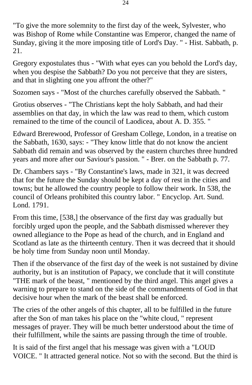"To give the more solemnity to the first day of the week, Sylvester, who was Bishop of Rome while Constantine was Emperor, changed the name of Sunday, giving it the more imposing title of Lord's Day. " - Hist. Sabbath, p. 21.

Gregory expostulates thus - "With what eyes can you behold the Lord's day, when you despise the Sabbath? Do you not perceive that they are sisters, and that in slighting one you affront the other?"

Sozomen says - "Most of the churches carefully observed the Sabbath. "

Grotius observes - "The Christians kept the holy Sabbath, and had their assemblies on that day, in which the law was read to them, which custom remained to the time of the council of Laodicea, about A. D. 355. "

Edward Brerewood, Professor of Gresham College, London, in a treatise on the Sabbath, 1630, says: - "They know little that do not know the ancient Sabbath did remain and was observed by the eastern churches three hundred years and more after our Saviour's passion. " - Brer. on the Sabbath p. 77.

Dr. Chambers says - "By Constantine's laws, made in 321, it was decreed that for the future the Sunday should be kept a day of rest in the cities and towns; but he allowed the country people to follow their work. In 538, the council of Orleans prohibited this country labor. " Encyclop. Art. Sund. Lond. 1791.

From this time, [538,] the observance of the first day was gradually but forcibly urged upon the people, and the Sabbath dismissed wherever they owned allegiance to the Pope as head of the church, and in England and Scotland as late as the thirteenth century. Then it was decreed that it should be holy time from Sunday noon until Monday.

Then if the observance of the first day of the week is not sustained by divine authority, but is an institution of Papacy, we conclude that it will constitute "THE mark of the beast, " mentioned by the third angel. This angel gives a warning to prepare to stand on the side of the commandments of God in that decisive hour when the mark of the beast shall be enforced.

The cries of the other angels of this chapter, all to be fulfilled in the future after the Son of man takes his place on the "white cloud, " represent messages of prayer. They will be much better understood about the time of their fulfillment, while the saints are passing through the time of trouble.

It is said of the first angel that his message was given with a "LOUD VOICE. " It attracted general notice. Not so with the second. But the third is